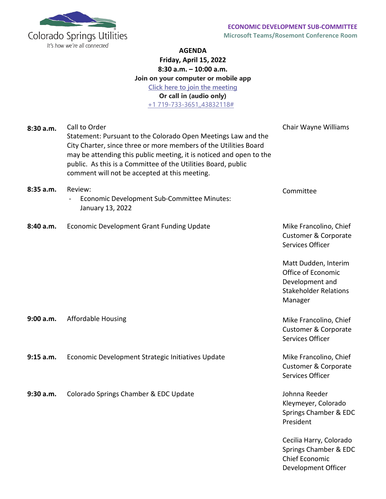

Development Officer

## **AGENDA Friday, April 15, 2022 8:30 a.m. – 10:00 a.m. Join on your computer or mobile app [Click here to join the meeting](https://nam11.safelinks.protection.outlook.com/ap/t-59584e83/?url=https%3A%2F%2Fteams.microsoft.com%2Fl%2Fmeetup-join%2F19%253ameeting_NmIwNmZhMzctOWQzZC00ZTdjLTk5ZmYtMzRkZTFiYmUwYmQ0%2540thread.v2%2F0%3Fcontext%3D%257b%2522Tid%2522%253a%25224ab4a7ce-079f-4346-b2b7-815f0d471eec%2522%252c%2522Oid%2522%253a%2522534bc1b1-6c9d-4f5a-9466-d020ddf237ee%2522%257d&data=04%7C01%7Cabuhl%40csu.org%7Cbfa6c376cf404c22e85c08d9d6da1877%7C4ab4a7ce079f4346b2b7815f0d471eec%7C0%7C0%7C637777054473415030%7CUnknown%7CTWFpbGZsb3d8eyJWIjoiMC4wLjAwMDAiLCJQIjoiV2luMzIiLCJBTiI6Ik1haWwiLCJXVCI6Mn0%3D%7C3000&sdata=qsoGlVebh2jARjgyQPm9jLqLdRRF05yW44StUV%2BTv0I%3D&reserved=0) Or call in (audio only)** [+1 719-733-3651,,43832118#](tel:+17197333651,,43832118#%20)

| 8:30a.m.  | Call to Order<br>Statement: Pursuant to the Colorado Open Meetings Law and the<br>City Charter, since three or more members of the Utilities Board<br>may be attending this public meeting, it is noticed and open to the<br>public. As this is a Committee of the Utilities Board, public<br>comment will not be accepted at this meeting. | Chair Wayne Williams                                                                                     |
|-----------|---------------------------------------------------------------------------------------------------------------------------------------------------------------------------------------------------------------------------------------------------------------------------------------------------------------------------------------------|----------------------------------------------------------------------------------------------------------|
| 8:35a.m.  | Review:<br>Economic Development Sub-Committee Minutes:<br>January 13, 2022                                                                                                                                                                                                                                                                  | Committee                                                                                                |
| 8:40 a.m. | Economic Development Grant Funding Update                                                                                                                                                                                                                                                                                                   | Mike Francolino, Chief<br>Customer & Corporate<br>Services Officer                                       |
|           |                                                                                                                                                                                                                                                                                                                                             | Matt Dudden, Interim<br>Office of Economic<br>Development and<br><b>Stakeholder Relations</b><br>Manager |
| 9:00 a.m. | <b>Affordable Housing</b>                                                                                                                                                                                                                                                                                                                   | Mike Francolino, Chief<br><b>Customer &amp; Corporate</b><br>Services Officer                            |
| 9:15 a.m. | Economic Development Strategic Initiatives Update                                                                                                                                                                                                                                                                                           | Mike Francolino, Chief<br>Customer & Corporate<br>Services Officer                                       |
| 9:30 a.m. | Colorado Springs Chamber & EDC Update                                                                                                                                                                                                                                                                                                       | Johnna Reeder<br>Kleymeyer, Colorado<br>Springs Chamber & EDC<br>President                               |
|           |                                                                                                                                                                                                                                                                                                                                             | Cecilia Harry, Colorado<br>Springs Chamber & EDC<br>Chief Economic                                       |